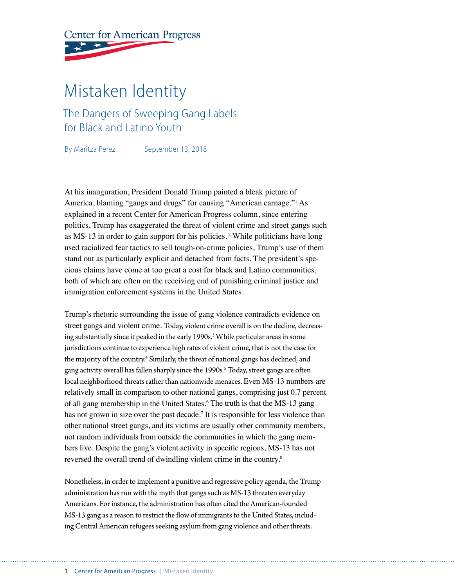**Center for American Progress** 

# Mistaken Identity

The Dangers of Sweeping Gang Labels for Black and Latino Youth

By Maritza Perez September 13, 2018

At his inauguration, President Donald Trump painted a bleak picture of America, blaming "gangs and drugs" for causing "American carnage."1 As explained in a recent Center for American Progress column, since entering politics, Trump has exaggerated the threat of violent crime and street gangs such as MS-13 in order to gain support for his policies. 2 While politicians have long used racialized fear tactics to sell tough-on-crime policies, Trump's use of them stand out as particularly explicit and detached from facts. The president's specious claims have come at too great a cost for black and Latino communities, both of which are often on the receiving end of punishing criminal justice and immigration enforcement systems in the United States.

Trump's rhetoric surrounding the issue of gang violence contradicts evidence on street gangs and violent crime. Today, violent crime overall is on the decline, decreasing substantially since it peaked in the early 1990s.<sup>3</sup> While particular areas in some jurisdictions continue to experience high rates of violent crime, that is not the case for the majority of the country.<sup>4</sup> Similarly, the threat of national gangs has declined, and gang activity overall has fallen sharply since the 1990s.<sup>5</sup> Today, street gangs are often local neighborhood threats rather than nationwide menaces. Even MS-13 numbers are relatively small in comparison to other national gangs, comprising just 0.7 percent of all gang membership in the United States.<sup>6</sup> The truth is that the MS-13 gang has not grown in size over the past decade.<sup>7</sup> It is responsible for less violence than other national street gangs, and its victims are usually other community members, not random individuals from outside the communities in which the gang members live. Despite the gang's violent activity in specific regions, MS-13 has not reversed the overall trend of dwindling violent crime in the country.8

Nonetheless, in order to implement a punitive and regressive policy agenda, the Trump administration has run with the myth that gangs such as MS-13 threaten everyday Americans. For instance, the administration has often cited the American-founded MS-13 gang as a reason to restrict the flow of immigrants to the United States, including Central American refugees seeking asylum from gang violence and other threats.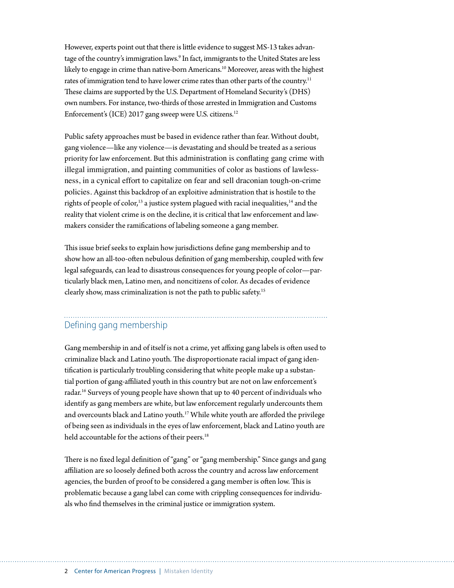However, experts point out that there is little evidence to suggest MS-13 takes advantage of the country's immigration laws.<sup>9</sup> In fact, immigrants to the United States are less likely to engage in crime than native-born Americans.<sup>10</sup> Moreover, areas with the highest rates of immigration tend to have lower crime rates than other parts of the country.<sup>11</sup> These claims are supported by the U.S. Department of Homeland Security's (DHS) own numbers. For instance, two-thirds of those arrested in Immigration and Customs Enforcement's (ICE) 2017 gang sweep were U.S. citizens.<sup>12</sup>

Public safety approaches must be based in evidence rather than fear. Without doubt, gang violence—like any violence—is devastating and should be treated as a serious priority for law enforcement. But this administration is conflating gang crime with illegal immigration, and painting communities of color as bastions of lawlessness, in a cynical effort to capitalize on fear and sell draconian tough-on-crime policies. Against this backdrop of an exploitive administration that is hostile to the rights of people of color,<sup>13</sup> a justice system plagued with racial inequalities,<sup>14</sup> and the reality that violent crime is on the decline, it is critical that law enforcement and lawmakers consider the ramifications of labeling someone a gang member.

This issue brief seeks to explain how jurisdictions define gang membership and to show how an all-too-often nebulous definition of gang membership, coupled with few legal safeguards, can lead to disastrous consequences for young people of color—particularly black men, Latino men, and noncitizens of color. As decades of evidence clearly show, mass criminalization is not the path to public safety.15

### Defining gang membership

Gang membership in and of itself is not a crime, yet affixing gang labels is often used to criminalize black and Latino youth. The disproportionate racial impact of gang identification is particularly troubling considering that white people make up a substantial portion of gang-affiliated youth in this country but are not on law enforcement's radar.16 Surveys of young people have shown that up to 40 percent of individuals who identify as gang members are white, but law enforcement regularly undercounts them and overcounts black and Latino youth.17 While white youth are afforded the privilege of being seen as individuals in the eyes of law enforcement, black and Latino youth are held accountable for the actions of their peers.<sup>18</sup>

There is no fixed legal definition of "gang" or "gang membership." Since gangs and gang affiliation are so loosely defined both across the country and across law enforcement agencies, the burden of proof to be considered a gang member is often low. This is problematic because a gang label can come with crippling consequences for individuals who find themselves in the criminal justice or immigration system.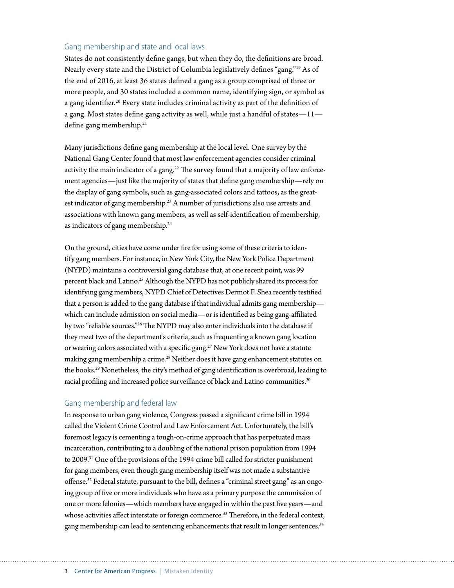#### Gang membership and state and local laws

States do not consistently define gangs, but when they do, the definitions are broad. Nearly every state and the District of Columbia legislatively defines "gang."19 As of the end of 2016, at least 36 states defined a gang as a group comprised of three or more people, and 30 states included a common name, identifying sign, or symbol as a gang identifier.<sup>20</sup> Every state includes criminal activity as part of the definition of a gang. Most states define gang activity as well, while just a handful of states—11 define gang membership.<sup>21</sup>

Many jurisdictions define gang membership at the local level. One survey by the National Gang Center found that most law enforcement agencies consider criminal activity the main indicator of a gang.<sup>22</sup> The survey found that a majority of law enforcement agencies—just like the majority of states that define gang membership—rely on the display of gang symbols, such as gang-associated colors and tattoos, as the greatest indicator of gang membership.<sup>23</sup> A number of jurisdictions also use arrests and associations with known gang members, as well as self-identification of membership, as indicators of gang membership.24

On the ground, cities have come under fire for using some of these criteria to identify gang members. For instance, in New York City, the New York Police Department (NYPD) maintains a controversial gang database that, at one recent point, was 99 percent black and Latino.<sup>25</sup> Although the NYPD has not publicly shared its process for identifying gang members, NYPD Chief of Detectives Dermot F. Shea recently testified that a person is added to the gang database if that individual admits gang membership which can include admission on social media—or is identified as being gang-affiliated by two "reliable sources."26 The NYPD may also enter individuals into the database if they meet two of the department's criteria, such as frequenting a known gang location or wearing colors associated with a specific gang.27 New York does not have a statute making gang membership a crime.<sup>28</sup> Neither does it have gang enhancement statutes on the books.<sup>29</sup> Nonetheless, the city's method of gang identification is overbroad, leading to racial profiling and increased police surveillance of black and Latino communities.<sup>30</sup>

#### Gang membership and federal law

In response to urban gang violence, Congress passed a significant crime bill in 1994 called the Violent Crime Control and Law Enforcement Act. Unfortunately, the bill's foremost legacy is cementing a tough-on-crime approach that has perpetuated mass incarceration, contributing to a doubling of the national prison population from 1994 to 2009.31 One of the provisions of the 1994 crime bill called for stricter punishment for gang members, even though gang membership itself was not made a substantive offense.32 Federal statute, pursuant to the bill, defines a "criminal street gang" as an ongoing group of five or more individuals who have as a primary purpose the commission of one or more felonies—which members have engaged in within the past five years—and whose activities affect interstate or foreign commerce.<sup>33</sup> Therefore, in the federal context, gang membership can lead to sentencing enhancements that result in longer sentences.<sup>34</sup>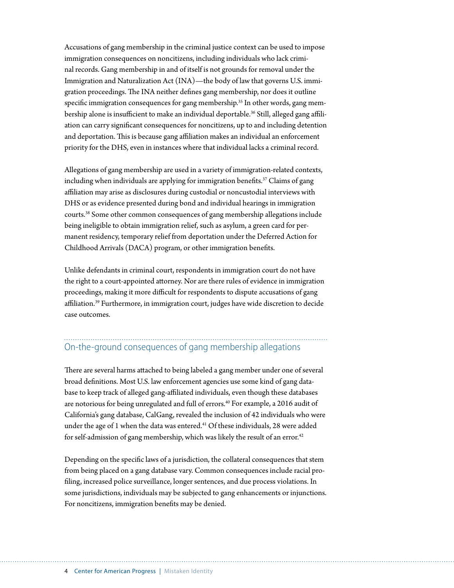Accusations of gang membership in the criminal justice context can be used to impose immigration consequences on noncitizens, including individuals who lack criminal records. Gang membership in and of itself is not grounds for removal under the Immigration and Naturalization Act (INA)—the body of law that governs U.S. immigration proceedings. The INA neither defines gang membership, nor does it outline specific immigration consequences for gang membership.<sup>35</sup> In other words, gang membership alone is insufficient to make an individual deportable.<sup>36</sup> Still, alleged gang affiliation can carry significant consequences for noncitizens, up to and including detention and deportation. This is because gang affiliation makes an individual an enforcement priority for the DHS, even in instances where that individual lacks a criminal record.

Allegations of gang membership are used in a variety of immigration-related contexts, including when individuals are applying for immigration benefits.37 Claims of gang affiliation may arise as disclosures during custodial or noncustodial interviews with DHS or as evidence presented during bond and individual hearings in immigration courts.38 Some other common consequences of gang membership allegations include being ineligible to obtain immigration relief, such as asylum, a green card for permanent residency, temporary relief from deportation under the Deferred Action for Childhood Arrivals (DACA) program, or other immigration benefits.

Unlike defendants in criminal court, respondents in immigration court do not have the right to a court-appointed attorney. Nor are there rules of evidence in immigration proceedings, making it more difficult for respondents to dispute accusations of gang affiliation.39 Furthermore, in immigration court, judges have wide discretion to decide case outcomes.

## On-the-ground consequences of gang membership allegations

There are several harms attached to being labeled a gang member under one of several broad definitions. Most U.S. law enforcement agencies use some kind of gang database to keep track of alleged gang-affiliated individuals, even though these databases are notorious for being unregulated and full of errors.<sup>40</sup> For example, a 2016 audit of California's gang database, CalGang, revealed the inclusion of 42 individuals who were under the age of 1 when the data was entered.<sup>41</sup> Of these individuals, 28 were added for self-admission of gang membership, which was likely the result of an error.<sup>42</sup>

Depending on the specific laws of a jurisdiction, the collateral consequences that stem from being placed on a gang database vary. Common consequences include racial profiling, increased police surveillance, longer sentences, and due process violations. In some jurisdictions, individuals may be subjected to gang enhancements or injunctions. For noncitizens, immigration benefits may be denied.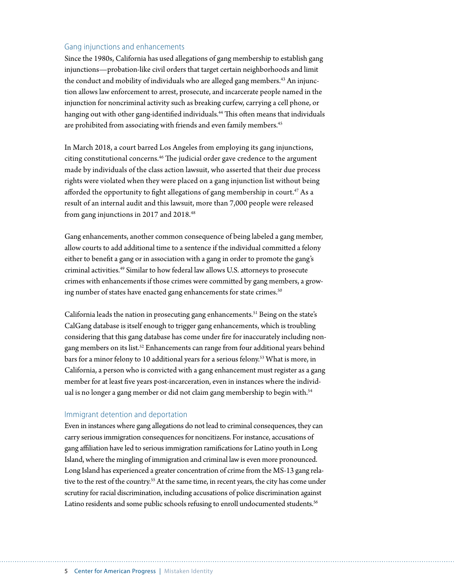#### Gang injunctions and enhancements

Since the 1980s, California has used allegations of gang membership to establish gang injunctions—probation-like civil orders that target certain neighborhoods and limit the conduct and mobility of individuals who are alleged gang members.<sup>43</sup> An injunction allows law enforcement to arrest, prosecute, and incarcerate people named in the injunction for noncriminal activity such as breaking curfew, carrying a cell phone, or hanging out with other gang-identified individuals.<sup>44</sup> This often means that individuals are prohibited from associating with friends and even family members.<sup>45</sup>

In March 2018, a court barred Los Angeles from employing its gang injunctions, citing constitutional concerns.<sup>46</sup> The judicial order gave credence to the argument made by individuals of the class action lawsuit, who asserted that their due process rights were violated when they were placed on a gang injunction list without being afforded the opportunity to fight allegations of gang membership in court.<sup>47</sup> As a result of an internal audit and this lawsuit, more than 7,000 people were released from gang injunctions in 2017 and 2018.<sup>48</sup>

Gang enhancements, another common consequence of being labeled a gang member, allow courts to add additional time to a sentence if the individual committed a felony either to benefit a gang or in association with a gang in order to promote the gang's criminal activities.49 Similar to how federal law allows U.S. attorneys to prosecute crimes with enhancements if those crimes were committed by gang members, a growing number of states have enacted gang enhancements for state crimes.<sup>50</sup>

California leads the nation in prosecuting gang enhancements.<sup>51</sup> Being on the state's CalGang database is itself enough to trigger gang enhancements, which is troubling considering that this gang database has come under fire for inaccurately including nongang members on its list.52 Enhancements can range from four additional years behind bars for a minor felony to 10 additional years for a serious felony.<sup>53</sup> What is more, in California, a person who is convicted with a gang enhancement must register as a gang member for at least five years post-incarceration, even in instances where the individual is no longer a gang member or did not claim gang membership to begin with.<sup>54</sup>

#### Immigrant detention and deportation

Even in instances where gang allegations do not lead to criminal consequences, they can carry serious immigration consequences for noncitizens. For instance, accusations of gang affiliation have led to serious immigration ramifications for Latino youth in Long Island, where the mingling of immigration and criminal law is even more pronounced. Long Island has experienced a greater concentration of crime from the MS-13 gang relative to the rest of the country.<sup>55</sup> At the same time, in recent years, the city has come under scrutiny for racial discrimination, including accusations of police discrimination against Latino residents and some public schools refusing to enroll undocumented students.<sup>56</sup>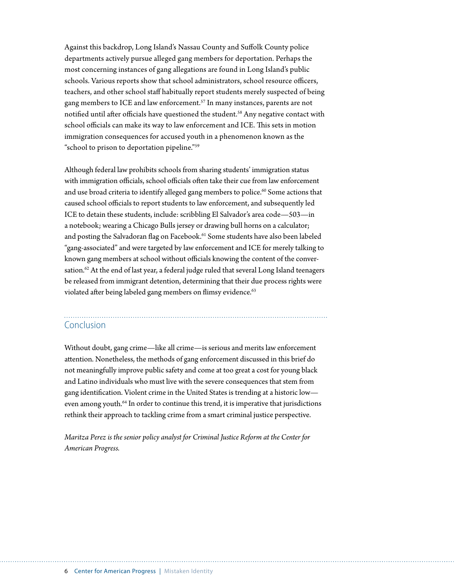Against this backdrop, Long Island's Nassau County and Suffolk County police departments actively pursue alleged gang members for deportation. Perhaps the most concerning instances of gang allegations are found in Long Island's public schools. Various reports show that school administrators, school resource officers, teachers, and other school staff habitually report students merely suspected of being gang members to ICE and law enforcement.<sup>57</sup> In many instances, parents are not notified until after officials have questioned the student.<sup>58</sup> Any negative contact with school officials can make its way to law enforcement and ICE. This sets in motion immigration consequences for accused youth in a phenomenon known as the "school to prison to deportation pipeline."59

Although federal law prohibits schools from sharing students' immigration status with immigration officials, school officials often take their cue from law enforcement and use broad criteria to identify alleged gang members to police.<sup>60</sup> Some actions that caused school officials to report students to law enforcement, and subsequently led ICE to detain these students, include: scribbling El Salvador's area code—503—in a notebook; wearing a Chicago Bulls jersey or drawing bull horns on a calculator; and posting the Salvadoran flag on Facebook.<sup>61</sup> Some students have also been labeled "gang-associated" and were targeted by law enforcement and ICE for merely talking to known gang members at school without officials knowing the content of the conversation.<sup>62</sup> At the end of last year, a federal judge ruled that several Long Island teenagers be released from immigrant detention, determining that their due process rights were violated after being labeled gang members on flimsy evidence.<sup>63</sup>

### Conclusion

Without doubt, gang crime—like all crime—is serious and merits law enforcement attention. Nonetheless, the methods of gang enforcement discussed in this brief do not meaningfully improve public safety and come at too great a cost for young black and Latino individuals who must live with the severe consequences that stem from gang identification. Violent crime in the United States is trending at a historic low even among youth.<sup>64</sup> In order to continue this trend, it is imperative that jurisdictions rethink their approach to tackling crime from a smart criminal justice perspective.

*Maritza Perez is the senior policy analyst for Criminal Justice Reform at the Center for American Progress.*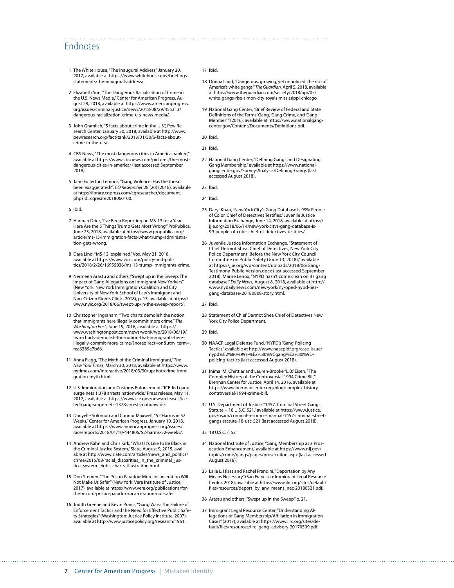#### Endnotes

- 1 The White House, "The Inaugural Address," January 20, 2017, available at [https://www.whitehouse.gov/briefings](https://www.whitehouse.gov/briefings-statements/the-inaugural-address/)[statements/the-inaugural-address/.](https://www.whitehouse.gov/briefings-statements/the-inaugural-address/)
- 2 Elizabeth Sun, "The Dangerous Racialization of Crime in the U.S. News Media," Center for American Progress, August 29, 2018, available at [https://www.americanprogress.](https://www.americanprogress.org/issues/criminal-justice/news/2018/08/29/455313/dangerous-racialization-crime-u-s-news-media/) [org/issues/criminal-justice/news/2018/08/29/455313/](https://www.americanprogress.org/issues/criminal-justice/news/2018/08/29/455313/dangerous-racialization-crime-u-s-news-media/) [dangerous-racialization-crime-u-s-news-media/.](https://www.americanprogress.org/issues/criminal-justice/news/2018/08/29/455313/dangerous-racialization-crime-u-s-news-media/)
- 3 John Gramlich, "5 facts about crime in the U.S.", Pew Research Center, January 30, 2018, available at [http://www.](http://www.pewresearch.org/fact-tank/2018/01/30/5-facts-about-crime-in-the-u-s/) [pewresearch.org/fact-tank/2018/01/30/5-facts-about](http://www.pewresearch.org/fact-tank/2018/01/30/5-facts-about-crime-in-the-u-s/)[crime-in-the-u-s/](http://www.pewresearch.org/fact-tank/2018/01/30/5-facts-about-crime-in-the-u-s/).
- 4 CBS News, "The most dangerous cities in America, ranked," available at [https://www.cbsnews.com/pictures/the-most](https://www.cbsnews.com/pictures/the-most-dangerous-cities-in-america/)[dangerous-cities-in-america/](https://www.cbsnews.com/pictures/the-most-dangerous-cities-in-america/) (last accessed September 2018).
- 5 Jane Fullerton Lemons, "Gang Violence: Has the threat been exaggerated?", *CQ Researcher* 28 (20) (2018), available at [http://library.cqpress.com/cqresearcher/document.](http://library.cqpress.com/cqresearcher/document.php?id=cqresrre2018060100) [php?id=cqresrre2018060100.](http://library.cqpress.com/cqresearcher/document.php?id=cqresrre2018060100)
- 6 Ibid.
- 7 Hannah Drier, "I've Been Reporting on MS-13 for a Year. Here Are the 5 Things Trump Gets Most Wrong," ProPublica, June 25, 2018, available at [https://www.propublica.org/](https://www.propublica.org/article/ms-13-immigration-facts-what-trump-administration-gets-wrong) [article/ms-13-immigration-facts-what-trump-administra](https://www.propublica.org/article/ms-13-immigration-facts-what-trump-administration-gets-wrong)[tion-gets-wrong](https://www.propublica.org/article/ms-13-immigration-facts-what-trump-administration-gets-wrong).
- 8 Dara Lind, "MS-13, explained," Vox, May 21, 2018, available at [https://www.vox.com/policy-and-poli](https://www.vox.com/policy-and-politics/2018/2/26/16955936/ms-13-trump-immigrants-crime)[tics/2018/2/26/16955936/ms-13-trump-immigrants-crime](https://www.vox.com/policy-and-politics/2018/2/26/16955936/ms-13-trump-immigrants-crime).
- 9 Nermeen Arastu and others, "Swept up in the Sweep: The Impact of Gang Allegations on Immigrant New Yorkers" (New York: New York Immigration Coalition and City University of New York School of Law's Immigrant and Non-Citizen Rights Clinic, 2018), p. 15, available at [https://](https://www.nyic.org/2018/06/swept-up-in-the-sweep-report/) [www.nyic.org/2018/06/swept-up-in-the-sweep-report/.](https://www.nyic.org/2018/06/swept-up-in-the-sweep-report/)
- 10 Christopher Ingraham, "Two charts demolish the notion that immigrants here illegally commit more crime," *The Washington Post*, June 19, 2018, available at [https://](https://www.washingtonpost.com/news/wonk/wp/2018/06/19/two-charts-demolish-the-notion-that-immigrants-here-illegally-commit-more-crime/?noredirect=on&utm_term=.fea6389e7b66) [www.washingtonpost.com/news/wonk/wp/2018/06/19/](https://www.washingtonpost.com/news/wonk/wp/2018/06/19/two-charts-demolish-the-notion-that-immigrants-here-illegally-commit-more-crime/?noredirect=on&utm_term=.fea6389e7b66) [two-charts-demolish-the-notion-that-immigrants-here](https://www.washingtonpost.com/news/wonk/wp/2018/06/19/two-charts-demolish-the-notion-that-immigrants-here-illegally-commit-more-crime/?noredirect=on&utm_term=.fea6389e7b66)[illegally-commit-more-crime/?noredirect=on&utm\\_term=.](https://www.washingtonpost.com/news/wonk/wp/2018/06/19/two-charts-demolish-the-notion-that-immigrants-here-illegally-commit-more-crime/?noredirect=on&utm_term=.fea6389e7b66) [fea6389e7b66](https://www.washingtonpost.com/news/wonk/wp/2018/06/19/two-charts-demolish-the-notion-that-immigrants-here-illegally-commit-more-crime/?noredirect=on&utm_term=.fea6389e7b66).
- 11 Anna Flagg, "The Myth of the Criminal Immigrant," *The New York Times*, March 30, 2018, available at [https://www.](https://www.nytimes.com/interactive/2018/03/30/upshot/crime-immigration-myth.html) [nytimes.com/interactive/2018/03/30/upshot/crime-immi](https://www.nytimes.com/interactive/2018/03/30/upshot/crime-immigration-myth.html)[gration-myth.html.](https://www.nytimes.com/interactive/2018/03/30/upshot/crime-immigration-myth.html)
- 12 U.S. Immigration and Customs Enforcement, "ICE-led gang surge nets 1,378 arrests nationwide," Press release, May 11, 2017, available at [https://www.ice.gov/news/releases/ice](https://www.ice.gov/news/releases/ice-led-gang-surge-nets-1378-arrests-nationwide)[led-gang-surge-nets-1378-arrests-nationwide](https://www.ice.gov/news/releases/ice-led-gang-surge-nets-1378-arrests-nationwide).
- 13 Danyelle Solomon and Connor Maxwell, "52 Harms in 52 Weeks," Center for American Progress, January 10, 2018, available at [https://www.americanprogress.org/issues/](https://www.americanprogress.org/issues/race/reports/2018/01/10/444806/52-harms-52-weeks/) [race/reports/2018/01/10/444806/52-harms-52-weeks/](https://www.americanprogress.org/issues/race/reports/2018/01/10/444806/52-harms-52-weeks/).
- 14 Andrew Kahn and Chris Kirk, "What It's Like to Be Black in the Criminal Justice System," Slate, August 9, 2015, available at [http://www.slate.com/articles/news\\_and\\_politics/](http://www.slate.com/articles/news_and_politics/crime/2015/08/racial_disparities_in_the_criminal_justice_system_eight_charts_illustrating.html) [crime/2015/08/racial\\_disparities\\_in\\_the\\_criminal\\_jus](http://www.slate.com/articles/news_and_politics/crime/2015/08/racial_disparities_in_the_criminal_justice_system_eight_charts_illustrating.html)[tice\\_system\\_eight\\_charts\\_illustrating.html](http://www.slate.com/articles/news_and_politics/crime/2015/08/racial_disparities_in_the_criminal_justice_system_eight_charts_illustrating.html).
- 15 Don Stemen, "The Prison Paradox: More Incarceration Will Not Make Us Safer" (New York: Vera Institute of Justice, 2017), available at [https://www.vera.org/publications/for](https://www.vera.org/publications/for-the-record-prison-paradox-incarceration-not-safer)[the-record-prison-paradox-incarceration-not-safer](https://www.vera.org/publications/for-the-record-prison-paradox-incarceration-not-safer).
- 16 Judith Greene and Kevin Pranis, "Gang Wars: The Failure of Enforcement Tactics and the Need for Effective Public Safety Strategies" (Washington: Justice Policy Institute, 2007), available at<http://www.justicepolicy.org/research/1961>.

#### 17 Ibid.

- 18 Donna Ladd, "Dangerous, growing, yet unnoticed: the rise of America's white gangs," *The Guardian*, April 5, 2018, available at [https://www.theguardian.com/society/2018/apr/05/](https://www.theguardian.com/society/2018/apr/05/white-gangs-rise-simon-city-royals-mississippi-chicago) [white-gangs-rise-simon-city-royals-mississippi-chicago](https://www.theguardian.com/society/2018/apr/05/white-gangs-rise-simon-city-royals-mississippi-chicago).
- 19 National Gang Center, "Brief Review of Federal and State Definitions of the Terms 'Gang,' 'Gang Crime,' and 'Gang Member' " (2016), available at [https://www.nationalgang](https://www.nationalgangcenter.gov/Content/Documents/Definitions.pdf)[center.gov/Content/Documents/Definitions.pdf](https://www.nationalgangcenter.gov/Content/Documents/Definitions.pdf).
- 20 Ibid.
- 21 Ibid.
- 22 National Gang Center, "Defining Gangs and Designating Gang Membership," available at [https://www.national](https://www.nationalgangcenter.gov/Survey-Analysis/Defining-Gangs)[gangcenter.gov/Survey-Analysis/Defining-Gangs](https://www.nationalgangcenter.gov/Survey-Analysis/Defining-Gangs) (last accessed August 2018).
- 23 Ibid.

24 Ibid.

- 25 Daryl Khan, "New York City's Gang Database is 99% People of Color, Chief of Detectives Testifies," Juvenile Justice Information Exchange, June 14, 2018, available at [https://](https://jjie.org/2018/06/14/new-york-citys-gang-database-is-99-people-of-color-chief-of-detectives-testifies/) [jjie.org/2018/06/14/new-york-citys-gang-database-is-](https://jjie.org/2018/06/14/new-york-citys-gang-database-is-99-people-of-color-chief-of-detectives-testifies/)[99-people-of-color-chief-of-detectives-testifies/](https://jjie.org/2018/06/14/new-york-citys-gang-database-is-99-people-of-color-chief-of-detectives-testifies/).
- 26 Juvenile Justice Information Exchange, "Statement of Chief Dermot Shea, Chief of Detectives, New York City Police Department, Before the New York City Council Committee on Public Safety (June 13, 2018)," available at [https://jjie.org/wp-content/uploads/2018/06/Gang-](https://jjie.org/wp-content/uploads/2018/06/Gang-Testimony-Public-Version.docx)[Testimony-Public-Version.docx](https://jjie.org/wp-content/uploads/2018/06/Gang-Testimony-Public-Version.docx) (last accessed September 2018). Marne Lenox, "NYPD hasn't come clean on its gang database," *Daily News*, August 8, 2018, available at [http://](http://www.nydailynews.com/new-york/ny-oped-nypd-lies-gang-database-20180808-story.html) [www.nydailynews.com/new-york/ny-oped-nypd-lies](http://www.nydailynews.com/new-york/ny-oped-nypd-lies-gang-database-20180808-story.html)[gang-database-20180808-story.html](http://www.nydailynews.com/new-york/ny-oped-nypd-lies-gang-database-20180808-story.html).

27 Ibid.

28 Statement of Chief Dermot Shea Chief of Detectives New York City Police Department.

29 Ibid.

- 30 NAACP Legal Defense Fund, "NYPD's 'Gang' Policing Tactics," available at [http://www.naacpldf.org/case-issue/](http://www.naacpldf.org/case-issue/nypd%E2%80%99s-%E2%80%9Cgang%E2%80%9D-policing-tactics) [nypd%E2%80%99s-%E2%80%9Cgang%E2%80%9D](http://www.naacpldf.org/case-issue/nypd%E2%80%99s-%E2%80%9Cgang%E2%80%9D-policing-tactics)[policing-tactics](http://www.naacpldf.org/case-issue/nypd%E2%80%99s-%E2%80%9Cgang%E2%80%9D-policing-tactics) (last accessed August 2018).
- 31 Inimai M. Chettiar and Lauren-Brooke "L.B." Eisen, "The Complex History of the Controversial 1994 Crime Bill," Brennan Center for Justice, April 14, 2016, available at [https://www.brennancenter.org/blog/complex-history](https://www.brennancenter.org/blog/complex-history-controversial-1994-crime-bill)[controversial-1994-crime-bill](https://www.brennancenter.org/blog/complex-history-controversial-1994-crime-bill).
- 32 U.S. Department of Justice, "1457. Criminal Street Gangs Statute -- 18 U.S.C. 521," available at [https://www.justice.](https://www.justice.gov/usam/criminal-resource-manual-1457-criminal-street-gangs-statute-18-usc-521) [gov/usam/criminal-resource-manual-1457-criminal-street](https://www.justice.gov/usam/criminal-resource-manual-1457-criminal-street-gangs-statute-18-usc-521)[gangs-statute-18-usc-521](https://www.justice.gov/usam/criminal-resource-manual-1457-criminal-street-gangs-statute-18-usc-521) (last accessed August 2018).
- 33 18 U.S.C. § 521
- 34 National Institute of Justice, "Gang Membership as a Prosecution Enhancement," available at [https://www.nij.gov/](https://www.nij.gov/topics/crime/gangs/pages/prosecution.aspx) [topics/crime/gangs/pages/prosecution.aspx](https://www.nij.gov/topics/crime/gangs/pages/prosecution.aspx) (last accessed August 2018).
- 35 Laila L. Hlass and Rachel Prandini, "Deportation by Any Means Necessary" (San Francisco: Immigrant Legal Resource Center, 2018), available at [https://www.ilrc.org/sites/default/](https://www.ilrc.org/sites/default/files/resources/deport_by_any_means_nec-20180521.pdf) [files/resources/deport\\_by\\_any\\_means\\_nec-20180521.pdf.](https://www.ilrc.org/sites/default/files/resources/deport_by_any_means_nec-20180521.pdf)
- 36 Arastu and others, "Swept up in the Sweep," p. 21.

37 Immigrant Legal Resource Center, "Understanding Allegations of Gang Membership/Affiliation in Immigration Cases" (2017), available at [https://www.ilrc.org/sites/de](https://www.ilrc.org/sites/default/files/resources/ilrc_gang_advisory-20170509.pdf)[fault/files/resources/ilrc\\_gang\\_advisory-20170509.pdf](https://www.ilrc.org/sites/default/files/resources/ilrc_gang_advisory-20170509.pdf).